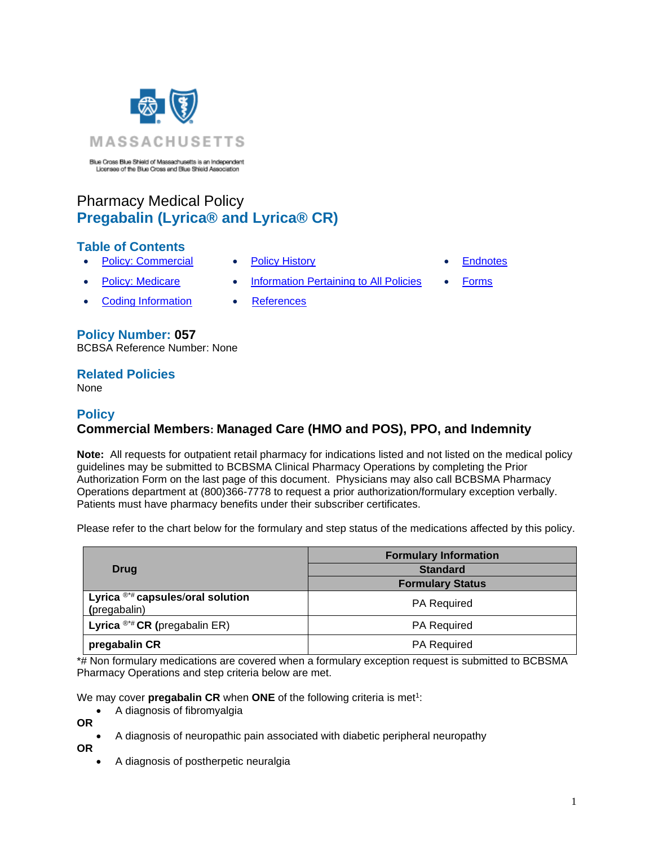

Blue Cross Blue Shield of Massachusetts is an Independent<br>Licenses of the Blue Cross and Blue Shield Association

# Pharmacy Medical Policy **Pregabalin (Lyrica® and Lyrica® CR)**

### **Table of Contents**

- **[Policy: Commercial](#page-0-0) [Policy History](#page-2-0) [Endnotes](#page-2-1)** 
	-
- 
- **[Policy: Medicare](#page-0-0) [Information Pertaining to All Policies](#page-1-0) Forms**
- [Coding Information](#page-1-1) [References](#page-2-2)
- 

# **Policy Number: 057**

BCBSA Reference Number: None

## **Related Policies**

<span id="page-0-0"></span>None

## **Policy Commercial Members: Managed Care (HMO and POS), PPO, and Indemnity**

**Note:** All requests for outpatient retail pharmacy for indications listed and not listed on the medical policy guidelines may be submitted to BCBSMA Clinical Pharmacy Operations by completing the Prior Authorization Form on the last page of this document. Physicians may also call BCBSMA Pharmacy Operations department at (800)366-7778 to request a prior authorization/formulary exception verbally. Patients must have pharmacy benefits under their subscriber certificates.

Please refer to the chart below for the formulary and step status of the medications affected by this policy.

|                                                              | <b>Formulary Information</b> |
|--------------------------------------------------------------|------------------------------|
| <b>Drug</b>                                                  | <b>Standard</b>              |
|                                                              | <b>Formulary Status</b>      |
| Lyrica $\mathbb{D}^*$ capsules/oral solution<br>(pregabalin) | <b>PA Required</b>           |
| Lyrica $^{\circledR*}\text{CR}$ (pregabalin ER)              | PA Required                  |
| pregabalin CR                                                | <b>PA Required</b>           |

\*# Non formulary medications are covered when a formulary exception request is submitted to BCBSMA Pharmacy Operations and step criteria below are met.

We may cover **pregabalin CR** when **ONE** of the following criteria is met<sup>1</sup>:

- A diagnosis of fibromyalgia **OR**
	- A diagnosis of neuropathic pain associated with diabetic peripheral neuropathy

**OR**

• A diagnosis of postherpetic neuralgia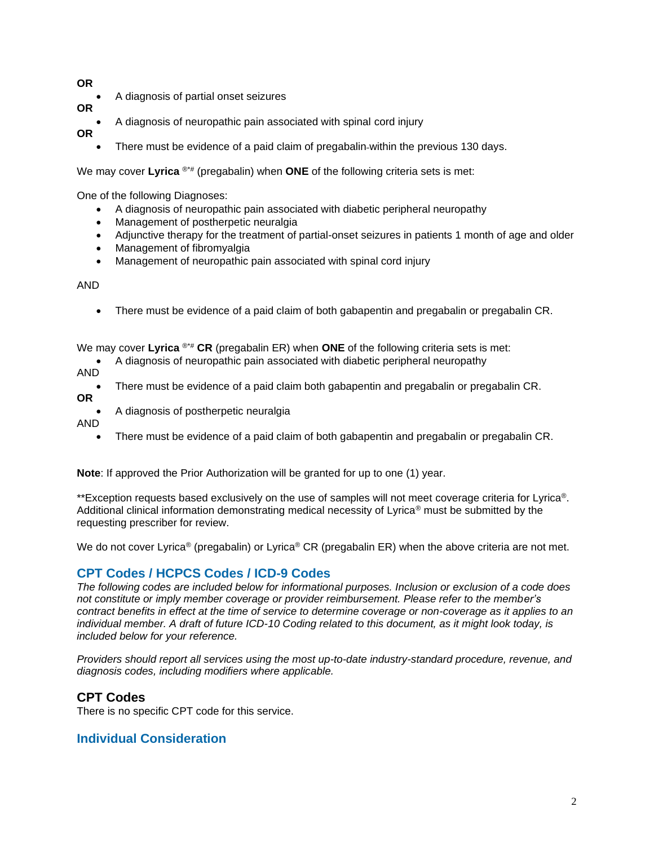**OR**

• A diagnosis of partial onset seizures

#### **OR**

- A diagnosis of neuropathic pain associated with spinal cord injury **OR**
	- There must be evidence of a paid claim of pregabalin within the previous 130 days.

We may cover Lyrica <sup>®\*#</sup> (pregabalin) when **ONE** of the following criteria sets is met:

One of the following Diagnoses:

- A diagnosis of neuropathic pain associated with diabetic peripheral neuropathy
- Management of postherpetic neuralgia
- Adjunctive therapy for the treatment of partial-onset seizures in patients 1 month of age and older
- Management of fibromyalgia
- Management of neuropathic pain associated with spinal cord injury

AND

• There must be evidence of a paid claim of both gabapentin and pregabalin or pregabalin CR.

We may cover **Lyrica** ®\*# **CR** (pregabalin ER) when **ONE** of the following criteria sets is met:

- A diagnosis of neuropathic pain associated with diabetic peripheral neuropathy
- AND
	- There must be evidence of a paid claim both gabapentin and pregabalin or pregabalin CR.
- **OR**
	- A diagnosis of postherpetic neuralgia

AND

• There must be evidence of a paid claim of both gabapentin and pregabalin or pregabalin CR.

**Note**: If approved the Prior Authorization will be granted for up to one (1) year.

\*\*Exception requests based exclusively on the use of samples will not meet coverage criteria for Lyrica®. Additional clinical information demonstrating medical necessity of Lyrica® must be submitted by the requesting prescriber for review.

<span id="page-1-1"></span>We do not cover Lyrica<sup>®</sup> (pregabalin) or Lyrica<sup>®</sup> CR (pregabalin ER) when the above criteria are not met.

## **CPT Codes / HCPCS Codes / ICD-9 Codes**

*The following codes are included below for informational purposes. Inclusion or exclusion of a code does not constitute or imply member coverage or provider reimbursement. Please refer to the member's contract benefits in effect at the time of service to determine coverage or non-coverage as it applies to an individual member. A draft of future ICD-10 Coding related to this document, as it might look today, is included below for your reference.*

*Providers should report all services using the most up-to-date industry-standard procedure, revenue, and diagnosis codes, including modifiers where applicable.*

## **CPT Codes**

There is no specific CPT code for this service.

# <span id="page-1-0"></span>**Individual Consideration**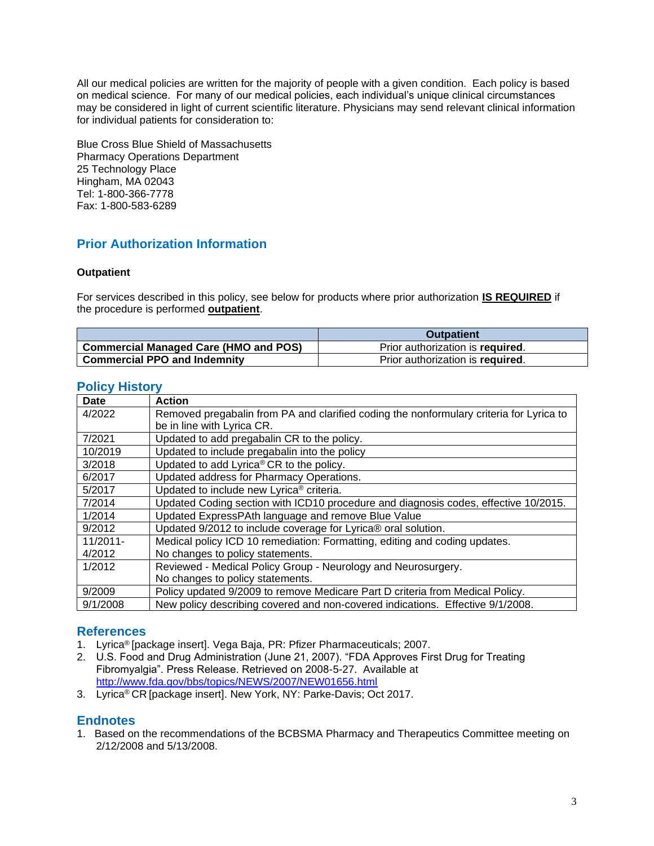All our medical policies are written for the majority of people with a given condition. Each policy is based on medical science. For many of our medical policies, each individual's unique clinical circumstances may be considered in light of current scientific literature. Physicians may send relevant clinical information for individual patients for consideration to:

Blue Cross Blue Shield of Massachusetts Pharmacy Operations Department 25 Technology Place Hingham, MA 02043 Tel: 1-800-366-7778 Fax: 1-800-583-6289

# <span id="page-2-0"></span>**Prior Authorization Information**

#### **Outpatient**

For services described in this policy, see below for products where prior authorization **IS REQUIRED** if the procedure is performed **outpatient**.

|                                                    | <b>Outpatient</b>                |
|----------------------------------------------------|----------------------------------|
| <sup>1</sup> Commercial Managed Care (HMO and POS) | Prior authorization is required. |
| <b>Commercial PPO and Indemnity</b>                | Prior authorization is required. |

#### **Policy History**

| <b>Date</b> | <b>Action</b>                                                                           |
|-------------|-----------------------------------------------------------------------------------------|
| 4/2022      | Removed pregabalin from PA and clarified coding the nonformulary criteria for Lyrica to |
|             | be in line with Lyrica CR.                                                              |
| 7/2021      | Updated to add pregabalin CR to the policy.                                             |
| 10/2019     | Updated to include pregabalin into the policy                                           |
| 3/2018      | Updated to add Lyrica® CR to the policy.                                                |
| 6/2017      | Updated address for Pharmacy Operations.                                                |
| 5/2017      | Updated to include new Lyrica® criteria.                                                |
| 7/2014      | Updated Coding section with ICD10 procedure and diagnosis codes, effective 10/2015.     |
| 1/2014      | Updated ExpressPAth language and remove Blue Value                                      |
| 9/2012      | Updated 9/2012 to include coverage for Lyrica® oral solution.                           |
| 11/2011-    | Medical policy ICD 10 remediation: Formatting, editing and coding updates.              |
| 4/2012      | No changes to policy statements.                                                        |
| 1/2012      | Reviewed - Medical Policy Group - Neurology and Neurosurgery.                           |
|             | No changes to policy statements.                                                        |
| 9/2009      | Policy updated 9/2009 to remove Medicare Part D criteria from Medical Policy.           |
| 9/1/2008    | New policy describing covered and non-covered indications. Effective 9/1/2008.          |

#### <span id="page-2-2"></span>**References**

- 1. Lyrica® [package insert]. Vega Baja, PR: Pfizer Pharmaceuticals; 2007.
- 2. U.S. Food and Drug Administration (June 21, 2007). "FDA Approves First Drug for Treating Fibromyalgia". Press Release. Retrieved on 2008-5-27. Available at <http://www.fda.gov/bbs/topics/NEWS/2007/NEW01656.html>
- <span id="page-2-1"></span>3. Lyrica® CR [package insert]. New York, NY: Parke-Davis; Oct 2017.

#### **Endnotes**

1. Based on the recommendations of the BCBSMA Pharmacy and Therapeutics Committee meeting on 2/12/2008 and 5/13/2008.